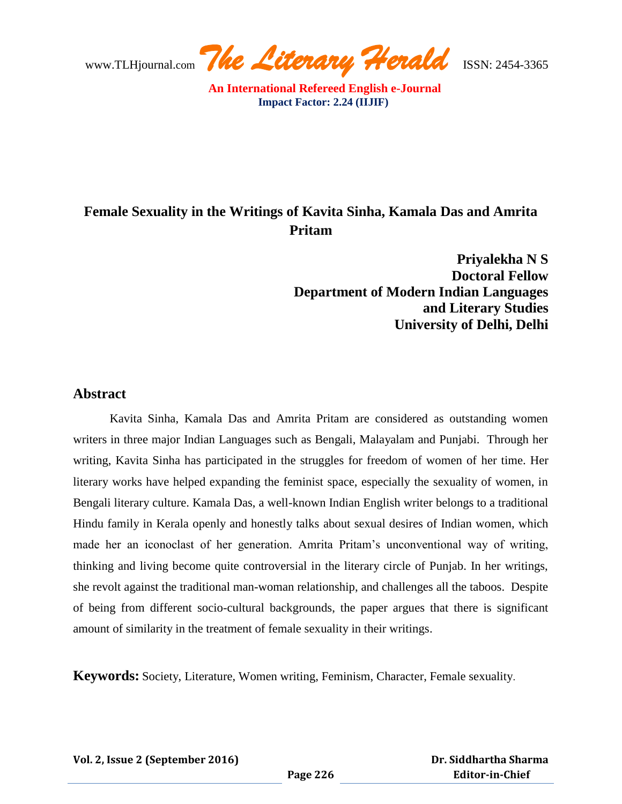## **Female Sexuality in the Writings of Kavita Sinha, Kamala Das and Amrita Pritam**

**Priyalekha N S Doctoral Fellow Department of Modern Indian Languages and Literary Studies University of Delhi, Delhi**

## **Abstract**

Kavita Sinha, Kamala Das and Amrita Pritam are considered as outstanding women writers in three major Indian Languages such as Bengali, Malayalam and Punjabi. Through her writing, Kavita Sinha has participated in the struggles for freedom of women of her time. Her literary works have helped expanding the feminist space, especially the sexuality of women, in Bengali literary culture. Kamala Das, a well-known Indian English writer belongs to a traditional Hindu family in Kerala openly and honestly talks about sexual desires of Indian women, which made her an iconoclast of her generation. Amrita Pritam"s unconventional way of writing, thinking and living become quite controversial in the literary circle of Punjab. In her writings, she revolt against the traditional man-woman relationship, and challenges all the taboos. Despite of being from different socio-cultural backgrounds, the paper argues that there is significant amount of similarity in the treatment of female sexuality in their writings.

**Keywords:** Society, Literature, Women writing, Feminism, Character, Female sexuality.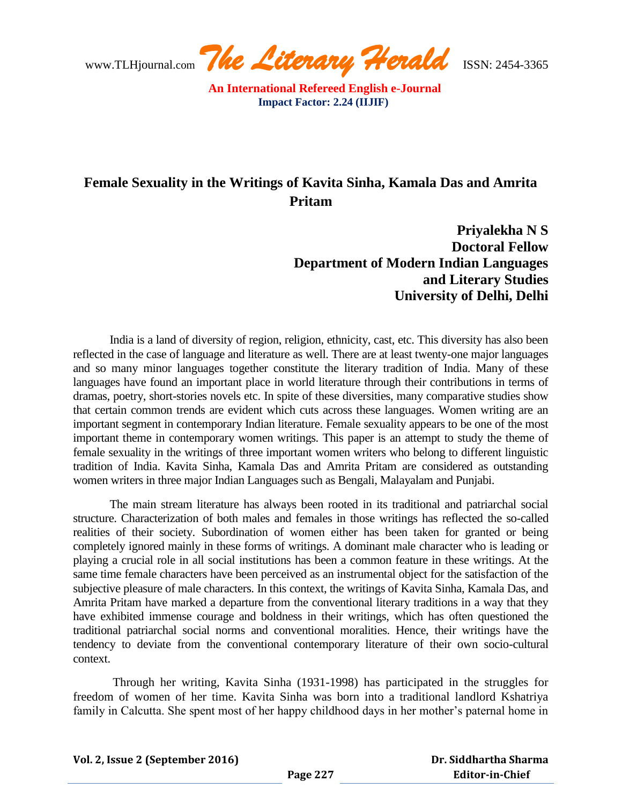www.TLHjournal.com *The Literary Herald*ISSN: 2454-3365

## **Female Sexuality in the Writings of Kavita Sinha, Kamala Das and Amrita Pritam**

**Priyalekha N S Doctoral Fellow Department of Modern Indian Languages and Literary Studies University of Delhi, Delhi**

India is a land of diversity of region, religion, ethnicity, cast, etc. This diversity has also been reflected in the case of language and literature as well. There are at least twenty-one major languages and so many minor languages together constitute the literary tradition of India. Many of these languages have found an important place in world literature through their contributions in terms of dramas, poetry, short-stories novels etc. In spite of these diversities, many comparative studies show that certain common trends are evident which cuts across these languages. Women writing are an important segment in contemporary Indian literature. Female sexuality appears to be one of the most important theme in contemporary women writings. This paper is an attempt to study the theme of female sexuality in the writings of three important women writers who belong to different linguistic tradition of India. Kavita Sinha, Kamala Das and Amrita Pritam are considered as outstanding women writers in three major Indian Languages such as Bengali, Malayalam and Punjabi.

The main stream literature has always been rooted in its traditional and patriarchal social structure. Characterization of both males and females in those writings has reflected the so-called realities of their society. Subordination of women either has been taken for granted or being completely ignored mainly in these forms of writings. A dominant male character who is leading or playing a crucial role in all social institutions has been a common feature in these writings. At the same time female characters have been perceived as an instrumental object for the satisfaction of the subjective pleasure of male characters. In this context, the writings of Kavita Sinha, Kamala Das, and Amrita Pritam have marked a departure from the conventional literary traditions in a way that they have exhibited immense courage and boldness in their writings, which has often questioned the traditional patriarchal social norms and conventional moralities. Hence, their writings have the tendency to deviate from the conventional contemporary literature of their own socio-cultural context.

Through her writing, Kavita Sinha (1931-1998) has participated in the struggles for freedom of women of her time. Kavita Sinha was born into a traditional landlord Kshatriya family in Calcutta. She spent most of her happy childhood days in her mother's paternal home in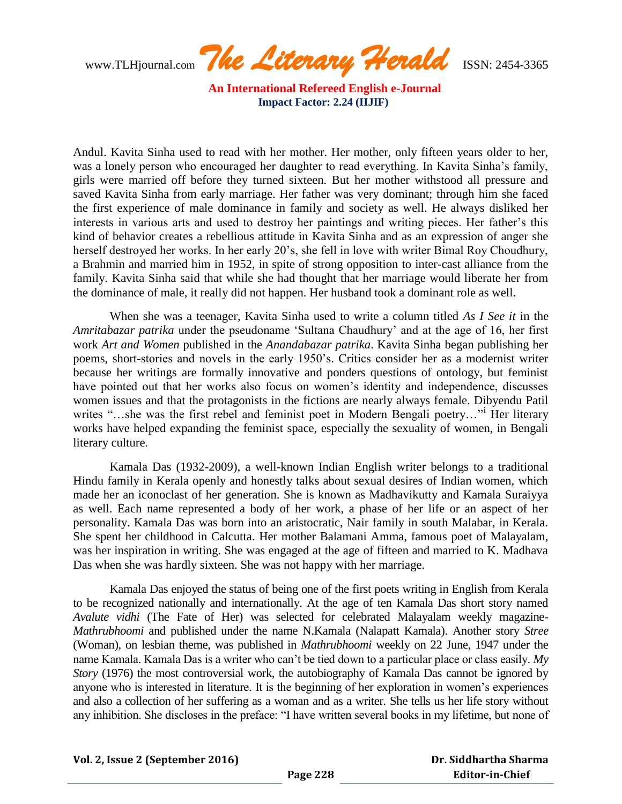www.TLHjournal.com *The Literary Herald*ISSN: 2454-3365

Andul. Kavita Sinha used to read with her mother. Her mother, only fifteen years older to her, was a lonely person who encouraged her daughter to read everything. In Kavita Sinha's family, girls were married off before they turned sixteen. But her mother withstood all pressure and saved Kavita Sinha from early marriage. Her father was very dominant; through him she faced the first experience of male dominance in family and society as well. He always disliked her interests in various arts and used to destroy her paintings and writing pieces. Her father"s this kind of behavior creates a rebellious attitude in Kavita Sinha and as an expression of anger she herself destroyed her works. In her early 20"s, she fell in love with writer Bimal Roy Choudhury, a Brahmin and married him in 1952, in spite of strong opposition to inter-cast alliance from the family. Kavita Sinha said that while she had thought that her marriage would liberate her from the dominance of male, it really did not happen. Her husband took a dominant role as well.

When she was a teenager, Kavita Sinha used to write a column titled *As I See it* in the *Amritabazar patrika* under the pseudoname "Sultana Chaudhury" and at the age of 16, her first work *Art and Women* published in the *Anandabazar patrika*. Kavita Sinha began publishing her poems, short-stories and novels in the early 1950"s. Critics consider her as a modernist writer because her writings are formally innovative and ponders questions of ontology, but feminist have pointed out that her works also focus on women"s identity and independence, discusses women issues and that the protagonists in the fictions are nearly always female. Dibyendu Patil writes "…she was the first rebel and feminist poet in Modern Bengali poetry…" Her literary works have helped expanding the feminist space, especially the sexuality of women, in Bengali literary culture.

Kamala Das (1932-2009), a well-known Indian English writer belongs to a traditional Hindu family in Kerala openly and honestly talks about sexual desires of Indian women, which made her an iconoclast of her generation. She is known as Madhavikutty and Kamala Suraiyya as well. Each name represented a body of her work, a phase of her life or an aspect of her personality. Kamala Das was born into an aristocratic, Nair family in south Malabar, in Kerala. She spent her childhood in Calcutta. Her mother Balamani Amma, famous poet of Malayalam, was her inspiration in writing. She was engaged at the age of fifteen and married to K. Madhava Das when she was hardly sixteen. She was not happy with her marriage.

Kamala Das enjoyed the status of being one of the first poets writing in English from Kerala to be recognized nationally and internationally. At the age of ten Kamala Das short story named *Avalute vidhi* (The Fate of Her) was selected for celebrated Malayalam weekly magazine-*Mathrubhoomi* and published under the name N.Kamala (Nalapatt Kamala). Another story *Stree* (Woman), on lesbian theme, was published in *Mathrubhoomi* weekly on 22 June, 1947 under the name Kamala. Kamala Das is a writer who can"t be tied down to a particular place or class easily. *My Story* (1976) the most controversial work, the autobiography of Kamala Das cannot be ignored by anyone who is interested in literature. It is the beginning of her exploration in women"s experiences and also a collection of her suffering as a woman and as a writer. She tells us her life story without any inhibition. She discloses in the preface: "I have written several books in my lifetime, but none of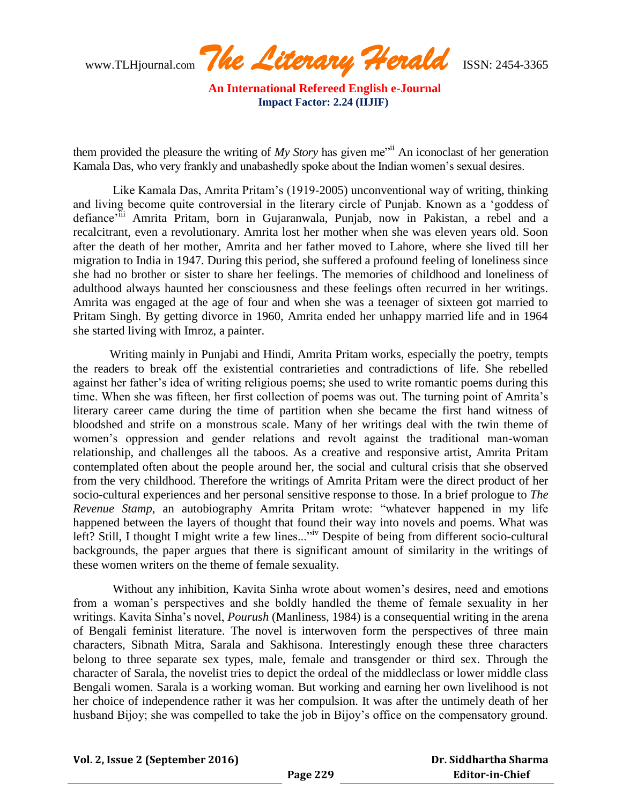www.TLHjournal.com *The Literary Herald*ISSN: 2454-3365

them provided the pleasure the writing of *My Story* has given me<sup>"ii</sup> An iconoclast of her generation Kamala Das, who very frankly and unabashedly spoke about the Indian women"s sexual desires.

Like Kamala Das, Amrita Pritam"s (1919-2005) unconventional way of writing, thinking and living become quite controversial in the literary circle of Punjab. Known as a "goddess of defiance<sup>-iii</sup> Amrita Pritam, born in Gujaranwala, Punjab, now in Pakistan, a rebel and a recalcitrant, even a revolutionary. Amrita lost her mother when she was eleven years old. Soon after the death of her mother, Amrita and her father moved to Lahore, where she lived till her migration to India in 1947. During this period, she suffered a profound feeling of loneliness since she had no brother or sister to share her feelings. The memories of childhood and loneliness of adulthood always haunted her consciousness and these feelings often recurred in her writings. Amrita was engaged at the age of four and when she was a teenager of sixteen got married to Pritam Singh. By getting divorce in 1960, Amrita ended her unhappy married life and in 1964 she started living with Imroz, a painter.

Writing mainly in Punjabi and Hindi, Amrita Pritam works, especially the poetry, tempts the readers to break off the existential contrarieties and contradictions of life. She rebelled against her father"s idea of writing religious poems; she used to write romantic poems during this time. When she was fifteen, her first collection of poems was out. The turning point of Amrita's literary career came during the time of partition when she became the first hand witness of bloodshed and strife on a monstrous scale. Many of her writings deal with the twin theme of women"s oppression and gender relations and revolt against the traditional man-woman relationship, and challenges all the taboos. As a creative and responsive artist, Amrita Pritam contemplated often about the people around her, the social and cultural crisis that she observed from the very childhood. Therefore the writings of Amrita Pritam were the direct product of her socio-cultural experiences and her personal sensitive response to those. In a brief prologue to *The Revenue Stamp*, an autobiography Amrita Pritam wrote: "whatever happened in my life happened between the layers of thought that found their way into novels and poems. What was left? Still, I thought I might write a few lines..."<sup>iv</sup> Despite of being from different socio-cultural backgrounds, the paper argues that there is significant amount of similarity in the writings of these women writers on the theme of female sexuality.

Without any inhibition, Kavita Sinha wrote about women"s desires, need and emotions from a woman"s perspectives and she boldly handled the theme of female sexuality in her writings. Kavita Sinha"s novel, *Pourush* (Manliness, 1984) is a consequential writing in the arena of Bengali feminist literature. The novel is interwoven form the perspectives of three main characters, Sibnath Mitra, Sarala and Sakhisona. Interestingly enough these three characters belong to three separate sex types, male, female and transgender or third sex. Through the character of Sarala, the novelist tries to depict the ordeal of the middleclass or lower middle class Bengali women. Sarala is a working woman. But working and earning her own livelihood is not her choice of independence rather it was her compulsion. It was after the untimely death of her husband Bijoy; she was compelled to take the job in Bijoy's office on the compensatory ground.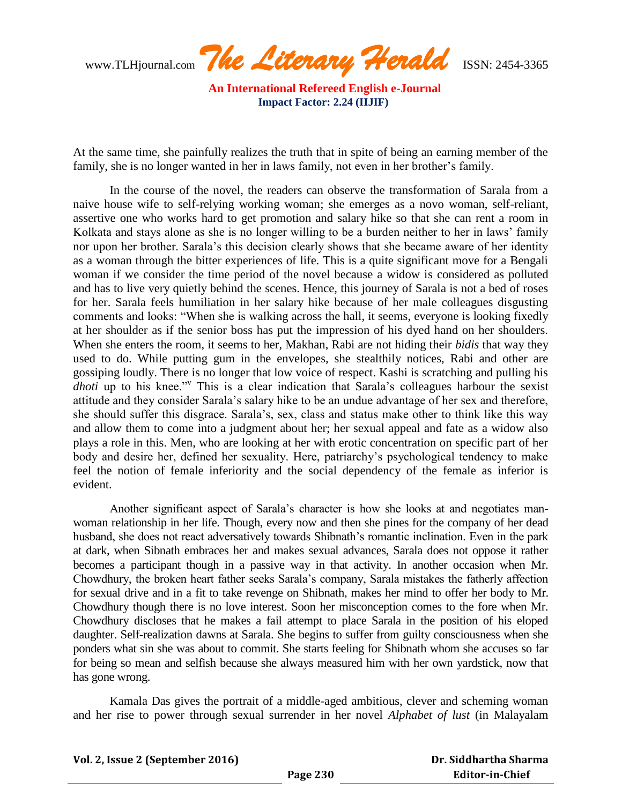www.TLHjournal.com *The Literary Herald*ISSN: 2454-3365

At the same time, she painfully realizes the truth that in spite of being an earning member of the family, she is no longer wanted in her in laws family, not even in her brother's family.

In the course of the novel, the readers can observe the transformation of Sarala from a naive house wife to self-relying working woman; she emerges as a novo woman, self-reliant, assertive one who works hard to get promotion and salary hike so that she can rent a room in Kolkata and stays alone as she is no longer willing to be a burden neither to her in laws' family nor upon her brother. Sarala"s this decision clearly shows that she became aware of her identity as a woman through the bitter experiences of life. This is a quite significant move for a Bengali woman if we consider the time period of the novel because a widow is considered as polluted and has to live very quietly behind the scenes. Hence, this journey of Sarala is not a bed of roses for her. Sarala feels humiliation in her salary hike because of her male colleagues disgusting comments and looks: "When she is walking across the hall, it seems, everyone is looking fixedly at her shoulder as if the senior boss has put the impression of his dyed hand on her shoulders. When she enters the room, it seems to her, Makhan, Rabi are not hiding their *bidis* that way they used to do. While putting gum in the envelopes, she stealthily notices, Rabi and other are gossiping loudly. There is no longer that low voice of respect. Kashi is scratching and pulling his *dhoti* up to his knee."<sup>v</sup> This is a clear indication that Sarala's colleagues harbour the sexist attitude and they consider Sarala"s salary hike to be an undue advantage of her sex and therefore, she should suffer this disgrace. Sarala"s, sex, class and status make other to think like this way and allow them to come into a judgment about her; her sexual appeal and fate as a widow also plays a role in this. Men, who are looking at her with erotic concentration on specific part of her body and desire her, defined her sexuality. Here, patriarchy"s psychological tendency to make feel the notion of female inferiority and the social dependency of the female as inferior is evident.

Another significant aspect of Sarala"s character is how she looks at and negotiates manwoman relationship in her life. Though, every now and then she pines for the company of her dead husband, she does not react adversatively towards Shibnath's romantic inclination. Even in the park at dark, when Sibnath embraces her and makes sexual advances, Sarala does not oppose it rather becomes a participant though in a passive way in that activity. In another occasion when Mr. Chowdhury, the broken heart father seeks Sarala"s company, Sarala mistakes the fatherly affection for sexual drive and in a fit to take revenge on Shibnath, makes her mind to offer her body to Mr. Chowdhury though there is no love interest. Soon her misconception comes to the fore when Mr. Chowdhury discloses that he makes a fail attempt to place Sarala in the position of his eloped daughter. Self-realization dawns at Sarala. She begins to suffer from guilty consciousness when she ponders what sin she was about to commit. She starts feeling for Shibnath whom she accuses so far for being so mean and selfish because she always measured him with her own yardstick, now that has gone wrong.

Kamala Das gives the portrait of a middle-aged ambitious, clever and scheming woman and her rise to power through sexual surrender in her novel *Alphabet of lust* (in Malayalam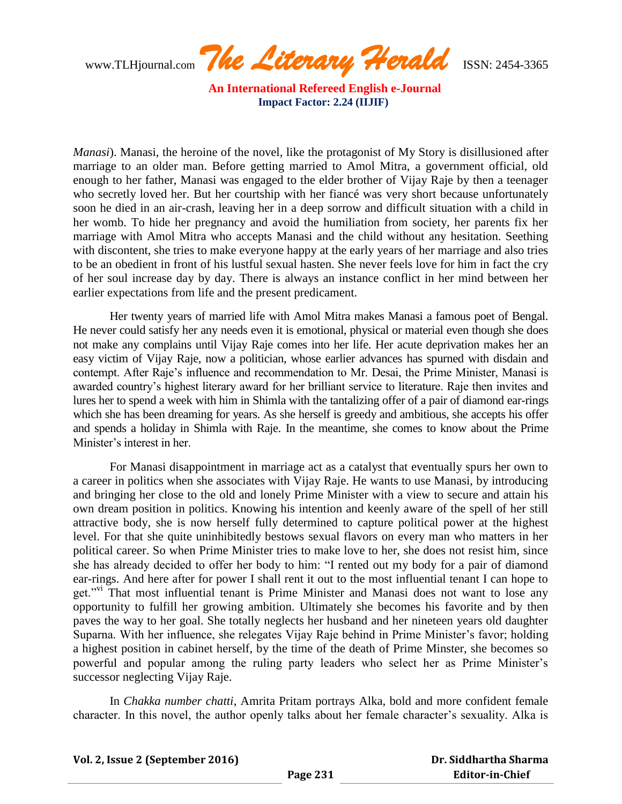www.TLHjournal.com *The Literary Herald*ISSN: 2454-3365

*Manasi*). Manasi, the heroine of the novel, like the protagonist of My Story is disillusioned after marriage to an older man. Before getting married to Amol Mitra, a government official, old enough to her father, Manasi was engaged to the elder brother of Vijay Raje by then a teenager who secretly loved her. But her courtship with her fiancé was very short because unfortunately soon he died in an air-crash, leaving her in a deep sorrow and difficult situation with a child in her womb. To hide her pregnancy and avoid the humiliation from society, her parents fix her marriage with Amol Mitra who accepts Manasi and the child without any hesitation. Seething with discontent, she tries to make everyone happy at the early years of her marriage and also tries to be an obedient in front of his lustful sexual hasten. She never feels love for him in fact the cry of her soul increase day by day. There is always an instance conflict in her mind between her earlier expectations from life and the present predicament.

Her twenty years of married life with Amol Mitra makes Manasi a famous poet of Bengal. He never could satisfy her any needs even it is emotional, physical or material even though she does not make any complains until Vijay Raje comes into her life. Her acute deprivation makes her an easy victim of Vijay Raje, now a politician, whose earlier advances has spurned with disdain and contempt. After Raje"s influence and recommendation to Mr. Desai, the Prime Minister, Manasi is awarded country"s highest literary award for her brilliant service to literature. Raje then invites and lures her to spend a week with him in Shimla with the tantalizing offer of a pair of diamond ear-rings which she has been dreaming for years. As she herself is greedy and ambitious, she accepts his offer and spends a holiday in Shimla with Raje. In the meantime, she comes to know about the Prime Minister"s interest in her.

For Manasi disappointment in marriage act as a catalyst that eventually spurs her own to a career in politics when she associates with Vijay Raje. He wants to use Manasi, by introducing and bringing her close to the old and lonely Prime Minister with a view to secure and attain his own dream position in politics. Knowing his intention and keenly aware of the spell of her still attractive body, she is now herself fully determined to capture political power at the highest level. For that she quite uninhibitedly bestows sexual flavors on every man who matters in her political career. So when Prime Minister tries to make love to her, she does not resist him, since she has already decided to offer her body to him: "I rented out my body for a pair of diamond ear-rings. And here after for power I shall rent it out to the most influential tenant I can hope to get."<sup>vi</sup> That most influential tenant is Prime Minister and Manasi does not want to lose any opportunity to fulfill her growing ambition. Ultimately she becomes his favorite and by then paves the way to her goal. She totally neglects her husband and her nineteen years old daughter Suparna. With her influence, she relegates Vijay Raje behind in Prime Minister"s favor; holding a highest position in cabinet herself, by the time of the death of Prime Minster, she becomes so powerful and popular among the ruling party leaders who select her as Prime Minister"s successor neglecting Vijay Raje.

In *Chakka number chatti*, Amrita Pritam portrays Alka, bold and more confident female character. In this novel, the author openly talks about her female character's sexuality. Alka is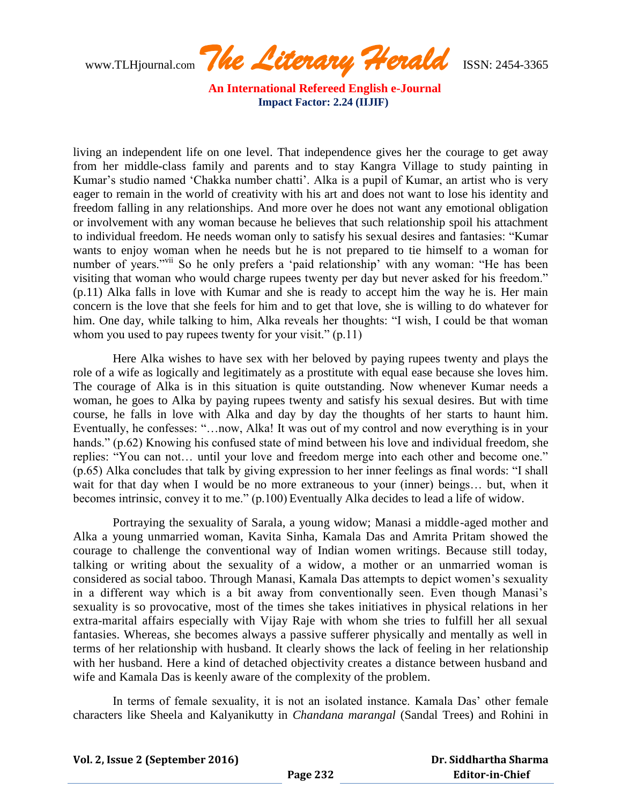www.TLHjournal.com *The Literary Herald*ISSN: 2454-3365

living an independent life on one level. That independence gives her the courage to get away from her middle-class family and parents and to stay Kangra Village to study painting in Kumar's studio named 'Chakka number chatti'. Alka is a pupil of Kumar, an artist who is very eager to remain in the world of creativity with his art and does not want to lose his identity and freedom falling in any relationships. And more over he does not want any emotional obligation or involvement with any woman because he believes that such relationship spoil his attachment to individual freedom. He needs woman only to satisfy his sexual desires and fantasies: "Kumar wants to enjoy woman when he needs but he is not prepared to tie himself to a woman for number of years."<sup>vii</sup> So he only prefers a 'paid relationship' with any woman: "He has been visiting that woman who would charge rupees twenty per day but never asked for his freedom." (p.11) Alka falls in love with Kumar and she is ready to accept him the way he is. Her main concern is the love that she feels for him and to get that love, she is willing to do whatever for him. One day, while talking to him, Alka reveals her thoughts: "I wish, I could be that woman whom you used to pay rupees twenty for your visit." (p.11)

Here Alka wishes to have sex with her beloved by paying rupees twenty and plays the role of a wife as logically and legitimately as a prostitute with equal ease because she loves him. The courage of Alka is in this situation is quite outstanding. Now whenever Kumar needs a woman, he goes to Alka by paying rupees twenty and satisfy his sexual desires. But with time course, he falls in love with Alka and day by day the thoughts of her starts to haunt him. Eventually, he confesses: "…now, Alka! It was out of my control and now everything is in your hands." (p.62) Knowing his confused state of mind between his love and individual freedom, she replies: "You can not… until your love and freedom merge into each other and become one." (p.65) Alka concludes that talk by giving expression to her inner feelings as final words: "I shall wait for that day when I would be no more extraneous to your (inner) beings… but, when it becomes intrinsic, convey it to me." (p.100) Eventually Alka decides to lead a life of widow.

Portraying the sexuality of Sarala, a young widow; Manasi a middle-aged mother and Alka a young unmarried woman, Kavita Sinha, Kamala Das and Amrita Pritam showed the courage to challenge the conventional way of Indian women writings. Because still today, talking or writing about the sexuality of a widow, a mother or an unmarried woman is considered as social taboo. Through Manasi, Kamala Das attempts to depict women"s sexuality in a different way which is a bit away from conventionally seen. Even though Manasi"s sexuality is so provocative, most of the times she takes initiatives in physical relations in her extra-marital affairs especially with Vijay Raje with whom she tries to fulfill her all sexual fantasies. Whereas, she becomes always a passive sufferer physically and mentally as well in terms of her relationship with husband. It clearly shows the lack of feeling in her relationship with her husband. Here a kind of detached objectivity creates a distance between husband and wife and Kamala Das is keenly aware of the complexity of the problem.

In terms of female sexuality, it is not an isolated instance. Kamala Das" other female characters like Sheela and Kalyanikutty in *Chandana marangal* (Sandal Trees) and Rohini in

**Vol. 2, Issue 2 (September 2016)**

 **Dr. Siddhartha Sharma Editor-in-Chief**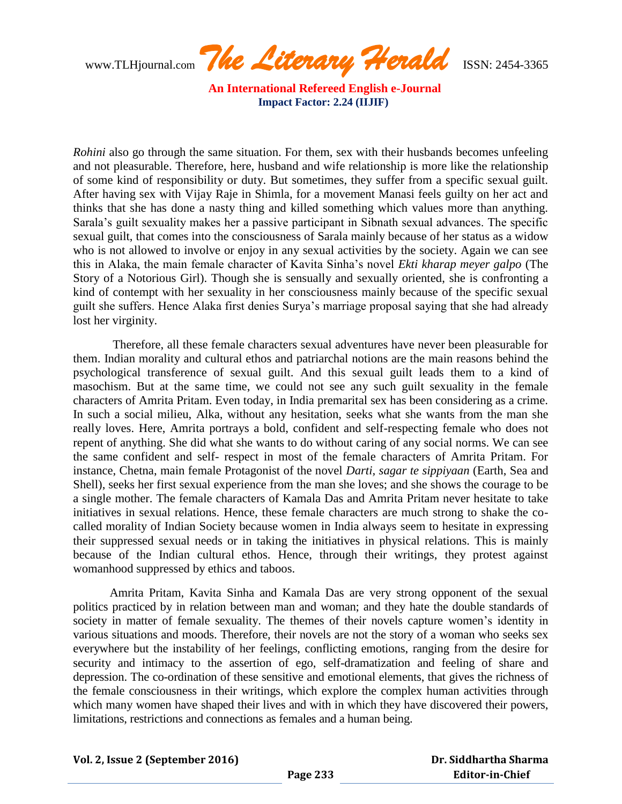www.TLHjournal.com *The Literary Herald*ISSN: 2454-3365

*Rohini* also go through the same situation. For them, sex with their husbands becomes unfeeling and not pleasurable. Therefore, here, husband and wife relationship is more like the relationship of some kind of responsibility or duty. But sometimes, they suffer from a specific sexual guilt. After having sex with Vijay Raje in Shimla, for a movement Manasi feels guilty on her act and thinks that she has done a nasty thing and killed something which values more than anything. Sarala"s guilt sexuality makes her a passive participant in Sibnath sexual advances. The specific sexual guilt, that comes into the consciousness of Sarala mainly because of her status as a widow who is not allowed to involve or enjoy in any sexual activities by the society. Again we can see this in Alaka, the main female character of Kavita Sinha"s novel *Ekti kharap meyer galpo* (The Story of a Notorious Girl). Though she is sensually and sexually oriented, she is confronting a kind of contempt with her sexuality in her consciousness mainly because of the specific sexual guilt she suffers. Hence Alaka first denies Surya"s marriage proposal saying that she had already lost her virginity.

Therefore, all these female characters sexual adventures have never been pleasurable for them. Indian morality and cultural ethos and patriarchal notions are the main reasons behind the psychological transference of sexual guilt. And this sexual guilt leads them to a kind of masochism. But at the same time, we could not see any such guilt sexuality in the female characters of Amrita Pritam. Even today, in India premarital sex has been considering as a crime. In such a social milieu, Alka, without any hesitation, seeks what she wants from the man she really loves. Here, Amrita portrays a bold, confident and self-respecting female who does not repent of anything. She did what she wants to do without caring of any social norms. We can see the same confident and self- respect in most of the female characters of Amrita Pritam. For instance, Chetna, main female Protagonist of the novel *Darti, sagar te sippiyaan* (Earth, Sea and Shell), seeks her first sexual experience from the man she loves; and she shows the courage to be a single mother. The female characters of Kamala Das and Amrita Pritam never hesitate to take initiatives in sexual relations. Hence, these female characters are much strong to shake the cocalled morality of Indian Society because women in India always seem to hesitate in expressing their suppressed sexual needs or in taking the initiatives in physical relations. This is mainly because of the Indian cultural ethos. Hence, through their writings, they protest against womanhood suppressed by ethics and taboos.

Amrita Pritam, Kavita Sinha and Kamala Das are very strong opponent of the sexual politics practiced by in relation between man and woman; and they hate the double standards of society in matter of female sexuality. The themes of their novels capture women's identity in various situations and moods. Therefore, their novels are not the story of a woman who seeks sex everywhere but the instability of her feelings, conflicting emotions, ranging from the desire for security and intimacy to the assertion of ego, self-dramatization and feeling of share and depression. The co-ordination of these sensitive and emotional elements, that gives the richness of the female consciousness in their writings, which explore the complex human activities through which many women have shaped their lives and with in which they have discovered their powers, limitations, restrictions and connections as females and a human being.